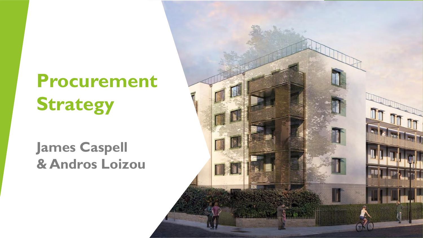# **Procurement Strategy**

### **James Caspell & Andros Loizou**

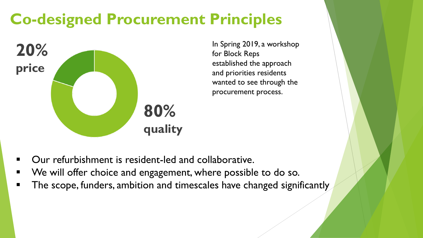# **Co-designed Procurement Principles**



In Spring 2019, a workshop for Block Reps established the approach and priorities residents wanted to see through the procurement process.

- Our refurbishment is resident-led and collaborative.
- We will offer choice and engagement, where possible to do so.
- The scope, funders, ambition and timescales have changed significantly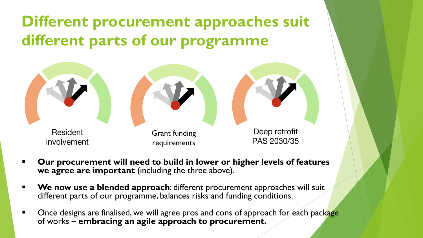**Different procurement approaches suit different parts of our programme**



- Our procurement will need to build in lower or higher levels of features we agree are important (including the three above).
- **We now use a blended approach**: different procurement approaches will suit different parts of our programme, balances risks and funding conditions.
- Once designs are finalised, we will agree pros and cons of approach for each package of works – **embracing an agile approach to procurement.**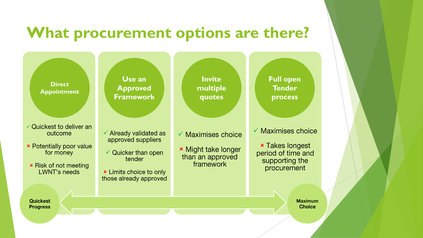### **What procurement options are there?**

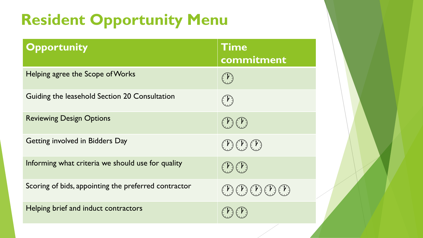# **Resident Opportunity Menu**

| Opportunity                                          | Time<br>commitment                                                                                                                          |
|------------------------------------------------------|---------------------------------------------------------------------------------------------------------------------------------------------|
| Helping agree the Scope of Works                     | $\mathbf{A}$                                                                                                                                |
| Guiding the leasehold Section 20 Consultation        | $\boldsymbol{Y}$                                                                                                                            |
| <b>Reviewing Design Options</b>                      | $(\  \, {\mathbf{Y}}\,)$ $(\  \, {\mathbf{Y}}\,)$                                                                                           |
| Getting involved in Bidders Day                      | $\left( \begin{array}{c} V \end{array} \right) \left( \begin{array}{c} V \end{array} \right) \left( \begin{array}{c} V \end{array} \right)$ |
| Informing what criteria we should use for quality    | $\left( \begin{array}{c} \mathbf{r} \end{array} \right)$                                                                                    |
| Scoring of bids, appointing the preferred contractor | (Y)(Y)(Y)(Y)(Y)                                                                                                                             |
| Helping brief and induct contractors                 |                                                                                                                                             |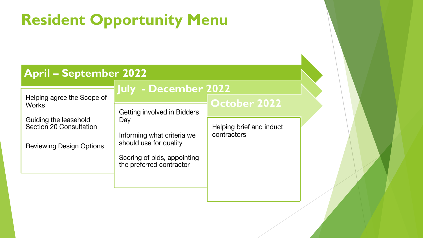# **Resident Opportunity Menu**

#### **April – September 2022**

#### **July - December 2022**

Helping agree the Scope of **Works** 

Guiding the leasehold Section 20 Consultation

**Reviewing Design Options** 

**Getting involved in Bidders** Day

Informing what criteria we

Scoring of bids, appointing the preferred contractor

should use for quality

Helping brief and induct

**October 2022**

contractors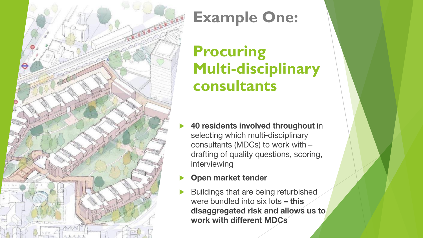

### **Example One:**

### **Procuring Multi-disciplinary consultants**

- 40 residents involved throughout in  $\blacktriangleright$ selecting which multi-disciplinary consultants (MDCs) to work with drafting of quality questions, scoring, interviewing
- Open market tender  $\blacktriangleright$
- Buildings that are being refurbished  $\blacktriangleright$ were bundled into six lots - this disaggregated risk and allows us to work with different MDCs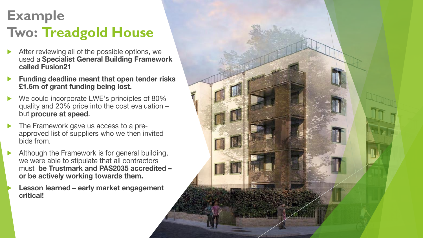### **Example Two: Treadgold House**

- After reviewing all of the possible options, we  $\blacktriangleright$ used a Specialist General Building Framework called Fusion21
- Funding deadline meant that open tender risks  $\blacktriangleright$ £1.6m of grant funding being lost.
- We could incorporate LWE's principles of 80%  $\blacktriangleright$ quality and 20% price into the cost evaluation but procure at speed.
- The Framework gave us access to a pre- $\blacktriangleright$ approved list of suppliers who we then invited bids from.
- Although the Framework is for general building,  $\blacktriangleright$ we were able to stipulate that all contractors must be Trustmark and PAS2035 accredited or be actively working towards them.

Lesson learned - early market engagement critical!

 $\blacktriangleright$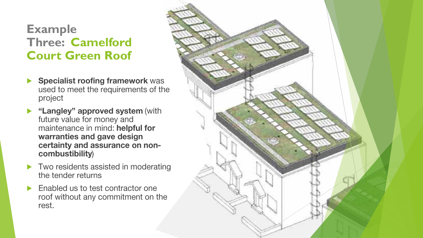#### **Example Three: Camelford Court Green Roof**

- **Specialist roofing framework was**  $\blacktriangleright$ used to meet the requirements of the project
- **Langley" approved system (with** future value for money and maintenance in mind: helpful for warranties and gave design certainty and assurance on noncombustibility)
- $\blacktriangleright$  Two residents assisted in moderating the tender returns
- Enabled us to test contractor one  $\blacktriangleright$ roof without any commitment on the rest.